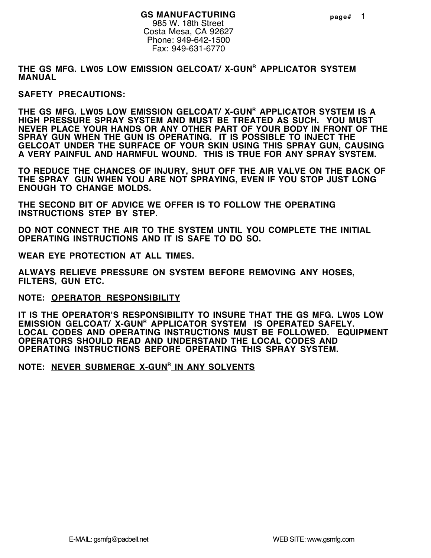#### **GS MANUFACTURING** 985 W. 18th Street

Costa Mesa, CA 92627 Phone: 949-642-1500 Fax: 949-631-6770

THE GS MFG. LW05 LOW EMISSION GELCOAT/ X-GUN<sup>R</sup> APPLICATOR SYSTEM **MANUAL**

#### **SAFETY PRECAUTIONS:**

THE GS MFG. LW05 LOW EMISSION GELCOAT/ X-GUN<sup>R</sup> APPLICATOR SYSTEM IS A **HIGH PRESSURE SPRAY SYSTEM AND MUST BE TREATED AS SUCH. YOU MUST NEVER PLACE YOUR HANDS OR ANY OTHER PART OF YOUR BODY IN FRONT OF THE SPRAY GUN WHEN THE GUN IS OPERATING. IT IS POSSIBLE TO INJECT THE GELCOAT UNDER THE SURFACE OF YOUR SKIN USING THIS SPRAY GUN, CAUSING A VERY PAINFUL AND HARMFUL WOUND. THIS IS TRUE FOR ANY SPRAY SYSTEM.**

**TO REDUCE THE CHANCES OF INJURY, SHUT OFF THE AIR VALVE ON THE BACK OF THE SPRAY GUN WHEN YOU ARE NOT SPRAYING, EVEN IF YOU STOP JUST LONG ENOUGH TO CHANGE MOLDS.**

**THE SECOND BIT OF ADVICE WE OFFER IS TO FOLLOW THE OPERATING INSTRUCTIONS STEP BY STEP.**

**DO NOT CONNECT THE AIR TO THE SYSTEM UNTIL YOU COMPLETE THE INITIAL OPERATING INSTRUCTIONS AND IT IS SAFE TO DO SO.**

**WEAR EYE PROTECTION AT ALL TIMES.**

**ALWAYS RELIEVE PRESSURE ON SYSTEM BEFORE REMOVING ANY HOSES, FILTERS, GUN ETC.**

**NOTE: OPERATOR RESPONSIBILITY**

**IT IS THE OPERATOR'S RESPONSIBILITY TO INSURE THAT THE GS MFG. LW05 LOW EMISSION GELCOAT/ X-GUN<sup>R</sup> APPLICATOR SYSTEM IS OPERATED SAFELY. LOCAL CODES AND OPERATING INSTRUCTIONS MUST BE FOLLOWED. EQUIPMENT OPERATORS SHOULD READ AND UNDERSTAND THE LOCAL CODES AND OPERATING INSTRUCTIONS BEFORE OPERATING THIS SPRAY SYSTEM.**

**NOTE: NEVER SUBMERGE X-GUN<sup>R</sup> IN ANY SOLVENTS**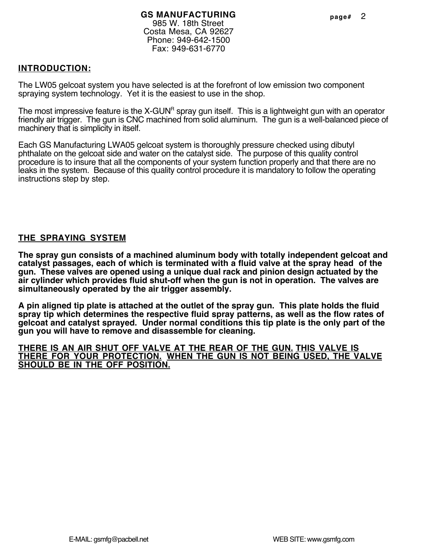The LW05 gelcoat system you have selected is at the forefront of low emission two component spraying system technology. Yet it is the easiest to use in the shop.

The most impressive feature is the X-GUN<sup>R</sup> spray gun itself. This is a lightweight gun with an operator friendly air trigger. The gun is CNC machined from solid aluminum. The gun is a well-balanced piece of machinery that is simplicity in itself.

Each GS Manufacturing LWA05 gelcoat system is thoroughly pressure checked using dibutyl phthalate on the gelcoat side and water on the catalyst side. The purpose of this quality control procedure is to insure that all the components of your system function properly and that there are no leaks in the system. Because of this quality control procedure it is mandatory to follow the operating instructions step by step.

# **THE SPRAYING SYSTEM**

**The spray gun consists of a machined aluminum body with totally independent gelcoat and catalyst passages, each of which is terminated with a fluid valve at the spray head of the gun. These valves are opened using a unique dual rack and pinion design actuated by the air cylinder which provides fluid shut-off when the gun is not in operation. The valves are simultaneously operated by the air trigger assembly.**

**A pin aligned tip plate is attached at the outlet of the spray gun. This plate holds the fluid spray tip which determines the respective fluid spray patterns, as well as the flow rates of gelcoat and catalyst sprayed. Under normal conditions this tip plate is the only part of the gun you will have to remove and disassemble for cleaning.**

**THERE IS AN AIR SHUT OFF VALVE AT THE REAR OF THE GUN. THIS VALVE IS THERE FOR YOUR PROTECTION. WHEN THE GUN IS NOT BEING USED, THE VALVE SHOULD BE IN THE OFF POSITION.**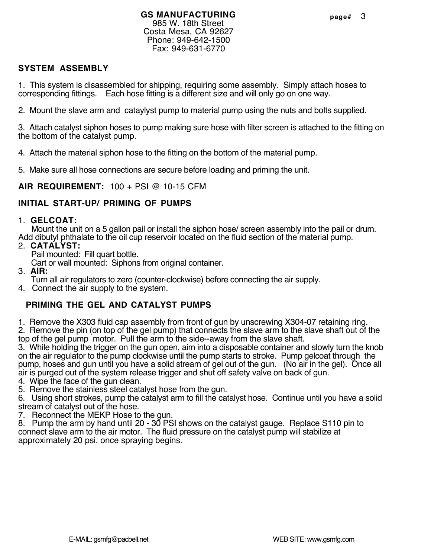#### **GS MANUFACTURING** 985 W. 18th Street Costa Mesa, CA 92627 Phone: 949-642-1500 Fax: 949-631-6770

# **SYSTEM ASSEMBLY**

1. This system is disassembled for shipping, requiring some assembly. Simply attach hoses to corresponding fittings. Each hose fitting is a different size and will only go on one way.

2. Mount the slave arm and cataylyst pump to material pump using the nuts and bolts supplied.

3. Attach catalyst siphon hoses to pump making sure hose with filter screen is attached to the fitting on the bottom of the catalyst pump.

4. Attach the material siphon hose to the fitting on the bottom of the material pump.

5. Make sure all hose connections are secure before loading and priming the unit.

**AIR REQUIREMENT:** 100 + PSI @ 10-15 CFM

### **INITIAL START-UP/ PRIMING OF PUMPS**

### 1. **GELCOAT:**

 Mount the unit on a 5 gallon pail or install the siphon hose/ screen assembly into the pail or drum. Add dibutyl phthalate to the oil cup reservoir located on the fluid section of the material pump.

- 2. **CATALYST:**
	- Pail mounted: Fill quart bottle.

Cart or wall mounted: Siphons from original container.

3. **AIR:**

Turn all air regulators to zero (counter-clockwise) before connecting the air supply.

4. Connect the air supply to the system.

# **PRIMING THE GEL AND CATALYST PUMPS**

1. Remove the X303 fluid cap assembly from front of gun by unscrewing X304-07 retaining ring.

2. Remove the pin (on top of the gel pump) that connects the slave arm to the slave shaft out of the top of the gel pump motor. Pull the arm to the side--away from the slave shaft.

3. While holding the trigger on the gun open, aim into a disposable container and slowly turn the knob on the air regulator to the pump clockwise until the pump starts to stroke. Pump gelcoat through the pump, hoses and gun until you have a solid stream of gel out of the gun. (No air in the gel). Once all air is purged out of the system release trigger and shut off safety valve on back of gun.

4. Wipe the face of the gun clean.

5. Remove the stainless steel catalyst hose from the gun.

6. Using short strokes, pump the catalyst arm to fill the catalyst hose. Continue until you have a solid stream of catalyst out of the hose.

7. Reconnect the MEKP Hose to the gun.

8. Pump the arm by hand until 20 - 30 PSI shows on the catalyst gauge. Replace S110 pin to connect slave arm to the air motor. The fluid pressure on the catalyst pump will stabilize at approximately 20 psi. once spraying begins.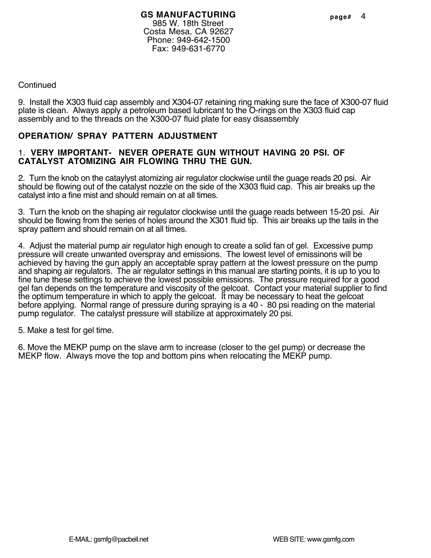### **Continued**

9. Install the X303 fluid cap assembly and X304-07 retaining ring making sure the face of X300-07 fluid plate is clean. Always apply a petroleum based lubricant to the O-rings on the X303 fluid cap assembly and to the threads on the X300-07 fluid plate for easy disassembly

### **OPERATION/ SPRAY PATTERN ADJUSTMENT**

#### 1. **VERY IMPORTANT- NEVER OPERATE GUN WITHOUT HAVING 20 PSI. OF CATALYST ATOMIZING AIR FLOWING THRU THE GUN.**

2. Turn the knob on the cataylyst atomizing air regulator clockwise until the guage reads 20 psi. Air should be flowing out of the catalyst nozzle on the side of the X303 fluid cap. This air breaks up the catalyst into a fine mist and should remain on at all times.

3. Turn the knob on the shaping air regulator clockwise until the guage reads between 15-20 psi. Air should be flowing from the series of holes around the X301 fluid tip. This air breaks up the tails in the spray pattern and should remain on at all times.

4. Adjust the material pump air regulator high enough to create a solid fan of gel. Excessive pump pressure will create unwanted overspray and emissions. The lowest level of emissinons will be achieved by having the gun apply an acceptable spray pattern at the lowest pressure on the pump and shaping air regulators. The air regulator settings in this manual are starting points, it is up to you to fine tune these settings to achieve the lowest possible emissions. The pressure required for a good gel fan depends on the temperature and viscosity of the gelcoat. Contact your material supplier to find the optimum temperature in which to apply the gelcoat. It may be necessary to heat the gelcoat before applying. Normal range of pressure during spraying is a 40 - 80 psi reading on the material pump regulator. The catalyst pressure will stabilize at approximately 20 psi.

5. Make a test for gel time.

6. Move the MEKP pump on the slave arm to increase (closer to the gel pump) or decrease the MEKP flow. Always move the top and bottom pins when relocating the MEKP pump.